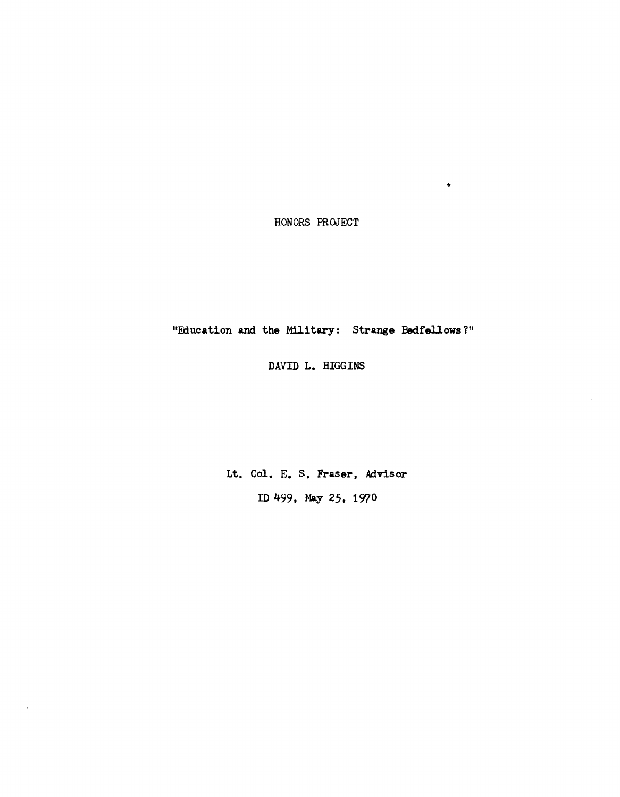HONORS PROJECT

 $\frac{1}{\sqrt{2}}$ 

 $\mathcal{L}$ 

"Education and the Military: Strange Bedfellows?"

DAVID L. HIGGINS

Lt. Col. E. S. Fraser, Advisor

ID 499, May 25, 1970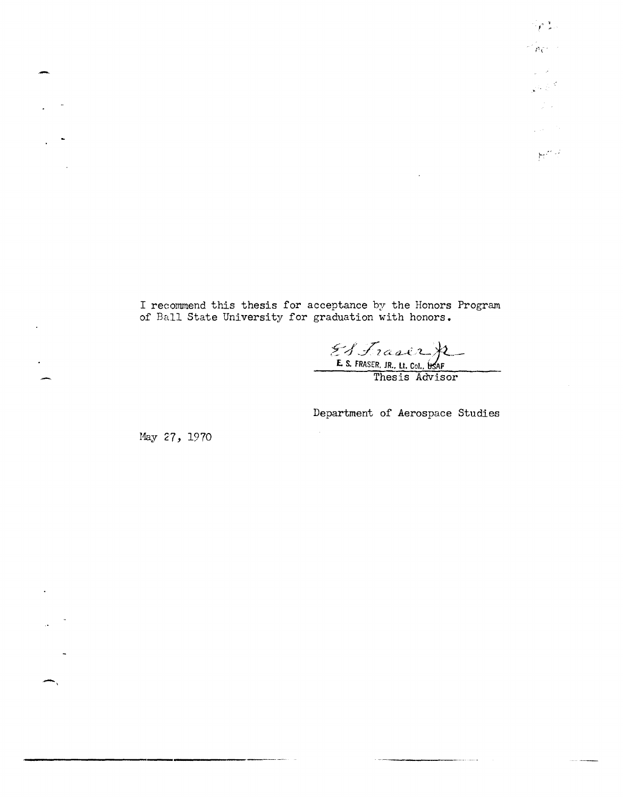, , I '  $\leq_{PC}$  .  $\leq$  $\sim 10^{11}$  $\mathbb{R}^3$  $\frac{1}{2}$  ,  $\frac{1}{2}$  $\sqrt{100}$  $\mathbb{M}^{2\times 2}$ 

I reconunend this thesis for acceptance by the Honors Program of Ball State University for graduation with honors.

 $\bar{\gamma}$ 

 $& f_{i} x_{i} \in \mathcal{F}$ E. S. FRASER, JR., Lt. Col., **ItS**AF

Thesis Advisor

Department of Aerospace Studies

Hay 27, 1970

-,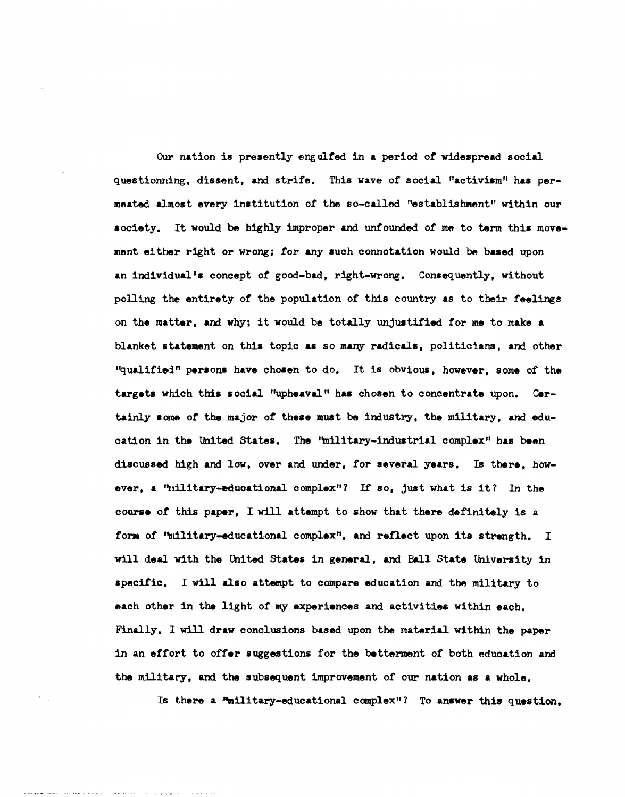Our nation is presently engulfed in a period of widespread social questionning, dissent, and strife. This wave of social "activism" has permeated almost every institution of the so-called "establishment" within our society. It would be highly improper and unfounded of me to term this movement ei tber right or wrong; for any such connotation would be based upon an individual's concept of good-bad, right-wrong. Consequently, without polling the entirety of the population of this country as to their feelings on the matter, and why; it would be totally unjustified for me to make a blanket statement on this topic as so many radicals, politicians, and other "qualified" persons have chosen to do. It is obvious, however, some of the targets which this social "upheaval" has chosen to concentrate upon. Certainly some of the major of these must be industry, the military, and education in the lhited states. The ''military-industrial complex" haa been discussed high and low, over and under, for several years. Is there, however, a ''military-educational complex"? If so, just what is it? In the course of this paper, I will attempt to show that there definitely is a form of 'military-educational complex", and reflect upon its strength. I will deal with the United States in general, and Ball State University in specific. I will also attempt to compare education and the military to each other in the light of my experiences and activities within each. Finally. I will draw conclusions based upon the material within the paper in an effort to offer suggestions for the betterment of both education and the military. and the subsequent improvement of our nation as a whole.

Is there a "millitary-educational complex"? To answer this question,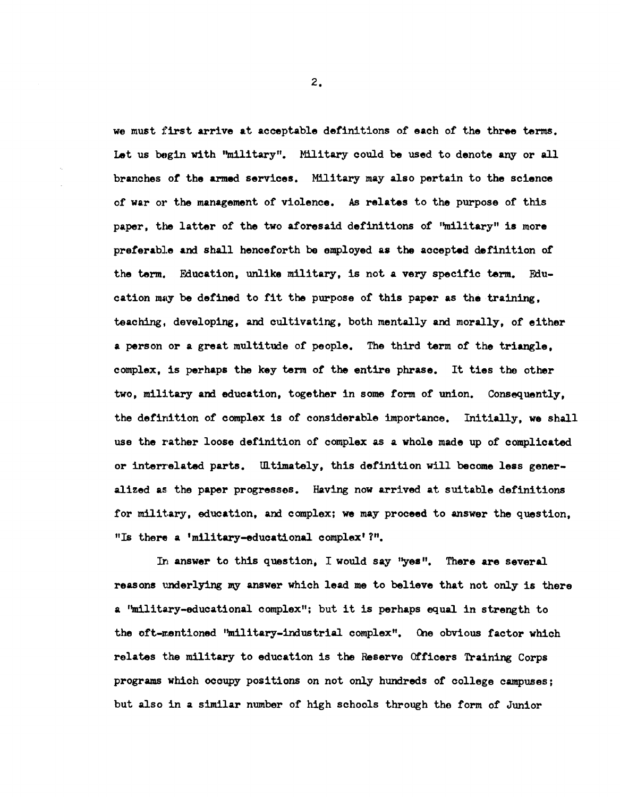we must first arrive at acceptable definitions of each of the three terms. Let us begin with "military". Military could be used to denote any or all branches of the armed services. Military may also pertain to the science of war or the management of violence. As relates to the purpose of this paper, the latter of the two aforesaid definitions of ''military'' is more preferable and shall henceforth be employed as the accepted definition *ot*  the term. Education, unlike military, is not a very specific term. Education may be defined to fit the purpose of this paper as the training. teaching, developing, and cultivating, both mentally and morally, of either a person or a great multitude of people. The third term *ot* the triangle, complex, is perhaps the key term of the entire phrase. It ties the other two, military and education, together in some form of union. Consequently, the definition of complex is of considerable importance. Initially, we shall use the rather loose definition of complex as a whole made up of complicated or interrelated parts. Ultimately, this definition will become less generalized as the paper progresses. Having now arrived at suitable definitions for military, education, and complex; we may proceed to answer the question. "Is there a 'military-educational complex' ?".

In answer to this question, I would say "yes". There are several reasons underlying my answer which lead me to believe that not only is there a "military-educational complex"; but it is perhaps equal in strength to the oft-mentioned ''military-industrial complex". One obvious factor which relates the military to education is the Reserve Officers Training Corps programs which occupy positions on not only hundreds of college campuses; but also in a similar number of high schools through the torm *ot* Junior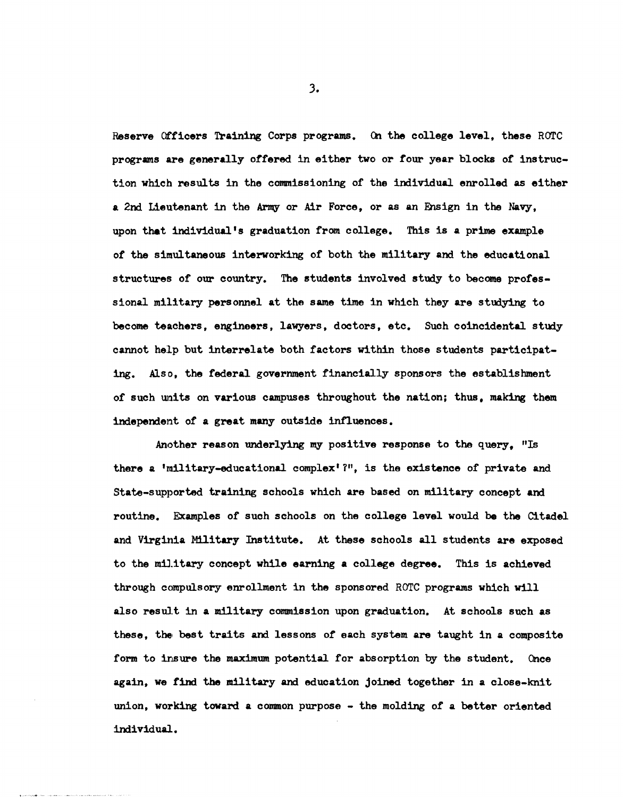Reserve Officers Training Corps programs. On the college level, these ROTC programs are generally offered in either two or four year blocks of instruction which results in the commissioning of the individual enrolled as either a 2nd Lieutenant in the Army or Air Force, or as an Ensign in the Navy. upon that individual's graduation from college. This is a prime example of the simultaneous interworking of both the military and the educational structures of our country. The students involved study to become professional military personnel at the same time in which they are studying to become teachers. engineers. lawyers. doctors. etc. Such coincidental study cannot help but interrelate both factors within those students participating. Also, the federal government financially sponsors the establishment of such units on various campuses throughout the nation; thus. making them independent of a great many outside 1nfluences.

Another reason underlying my positive response to the query. "Is there a 'military-educational complex'  $?$ ", is the existence of private and State-supported training schools which are based on military concept and routine. Examples of such schools on the college level would be the Citadel and Virginia Military Institute. At these schools all students are exposed to the military concept while earning a college degree. This is achieved through compulsory enrollment in the sponsored ROTC programs which will also result in a military commission upon graduation. At schools such as these, the. best traits and lessons of each system are taught in a composite form to insure the maximum potential for absorption by the student. Once again. we find the military and education joined together in a close-knit union, working toward a common purpose - the molding of a better oriented individual.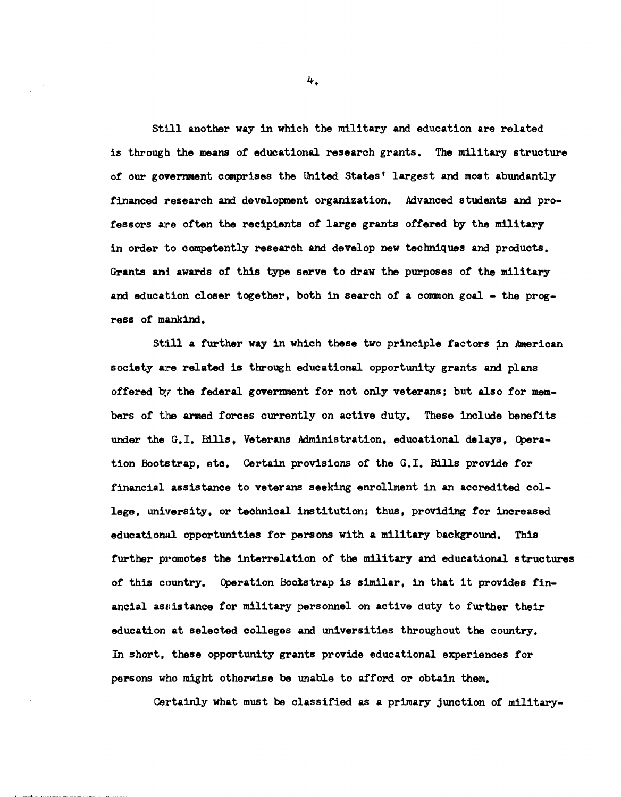Still another way in which the military and education are related is through the means of educational research grants. The military structure of our government comprises the United States' largest and most abundantly financed research and development organization. Advanced students and professors are often the recipients of large grants offered by the military in order to competently research and develop new techniques and products. Grants and awards of this type serve to draw the purposes of the military and education closer together, both in search of a common goal - the progress of mankind.

Still a further way in which these two principle factors in American society are related is through educational opportunity grants and plans offered by the federal government for not only veterans; but also for members of the armed forces currently on active duty. These include benefits under the G.I. Bills, Veterans Administration, educational delays, Qperation Bootstrap, etc. Certain provisions of the G.I. Bills provide for financial assistance to veterans seeking enrollment in an accredited college, university, or technical institution; thus, providing for increased educational opportunities for persons with a military background. This further promotes the interrelation of the military and educational structures of this country. Operation Bootstrap is similar, in that it provides financial assistance for military personnel on active duty to further their education at selected colleges and universities throughout the country. In short, these opportunity grants provide educational experiences for persons who might otherwise be unable to afford or obtain them.

Certainly what must be classified as a primary junction of military-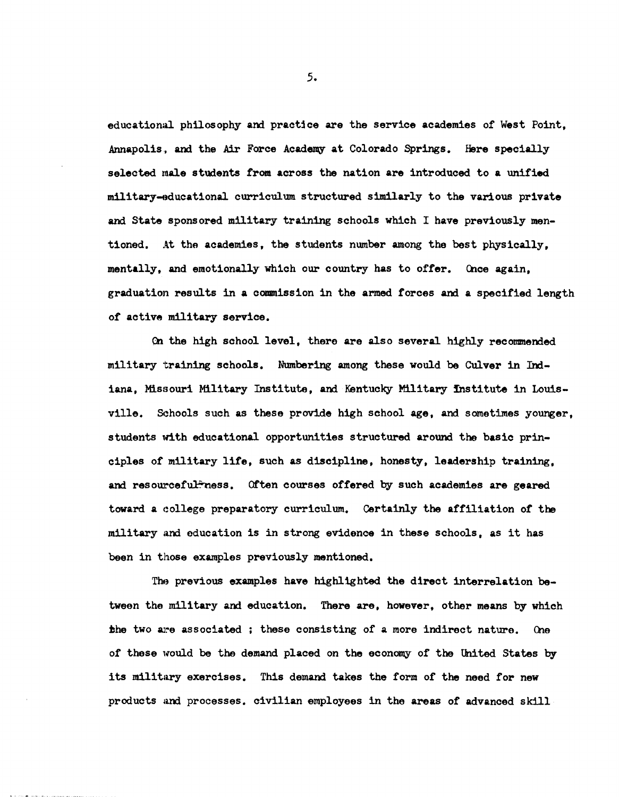educational philosophy and practice are the service academies of West Point. Annapolis. and the Air Force Academy at Colorado Springs. Here specially selected male students from across the nation are introduced to a unified military-nducational curriculum structured similarly to the various private and State sponsored military training schools which I have previously mentioned. At tho academies, the students number among the best physically, mentally, and emotionally which our country has to offer. Once again, graduation results in a commission in the armed forces and a specified length of active military service.

en the high school level, there are also several highly recommeMed military training schools. Numbering among these would be Culver in IMiana, Missouri Military Institute, and Kentucky Military institute in louisville. Schools such as these provide high school age, and sometimes younger, students with educational opportunities structured around the basic principles of military life, such as discipline, honesty, leadership training, and resourceful-ress. Often courses offered by such academies are geared toward a college preparatory curriculum. Certainly the affiliation of the military and education is in strong evidence in these schools, as it has been in those examples previously mentioned.

The previous examples have highlighted the direct interrelation between the military and education. There are, however, other means by which the two are associated ; these consisting of a more indirect nature. One of these would be the demand placed on the economy of the United States by its military exercises. This demand takes the form of the need for new products and processes. civilian employees in the areas of advanced skill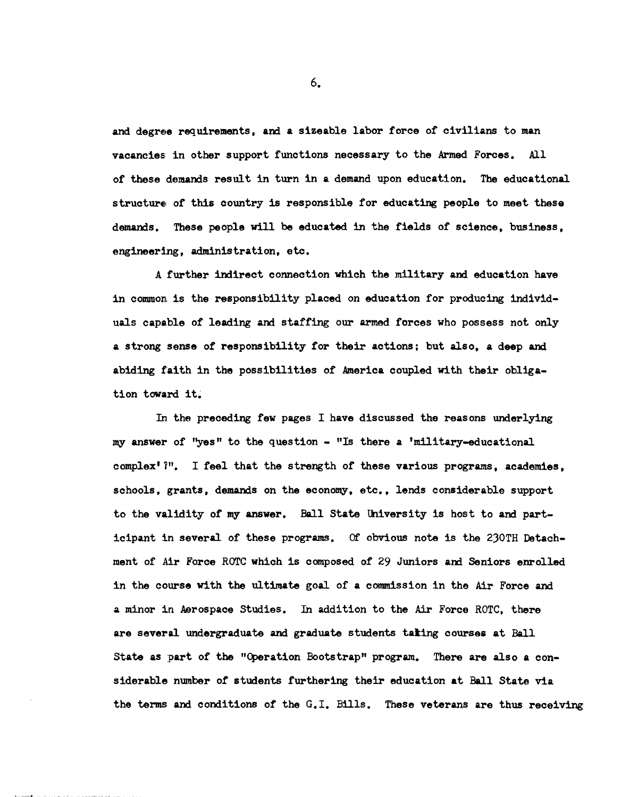and degree requirements, and a sizeable labor force of civilians to man vacancies: in other support functions necessary to the Armed Forces. All of these demands result in turn in a demand upon education. The educational structure of this country is responsible for educating people to meet these demands. These people will be educated in the fields of science, business, engineering, administration, etc.

A further indirect connection which the military and education have in common is the responsibility placed on education for producing individuals capable of leading and staffing our armed forces who possess not only a strong sense *ot* responsibility for their actions: but also, a deep and abiding faith in the possibilities of America coupled with their obligation toward it.

In the preceding few pages I have discussed the reasons underlying my answer of "yes" to the question  $-$  "Is there a 'military-educational complex' 1". I feel that the strength of these various programs, academies, schools, grants, demands on the economy, etc., lends considerable support to the validity of my answer. Ball state University is host to and participant in several of these programs. Of obvious note is the 230TH Detachment of Air Force ROTC which is composed of 29 Juniors and Seniors enrolled in the course with the ultimate goal of a commission in the Air Force and a minor in Aerospace Studies. In addition to the Air Force ROTC, there are several undergraduate and graduate students tating courses at Ball State as part of the "Operation Bootstrap" program. There are also a considerable number *ot* students furthering their education at Ball State via the terms and conditions of the G.l. Bills. These veterans are thus receiving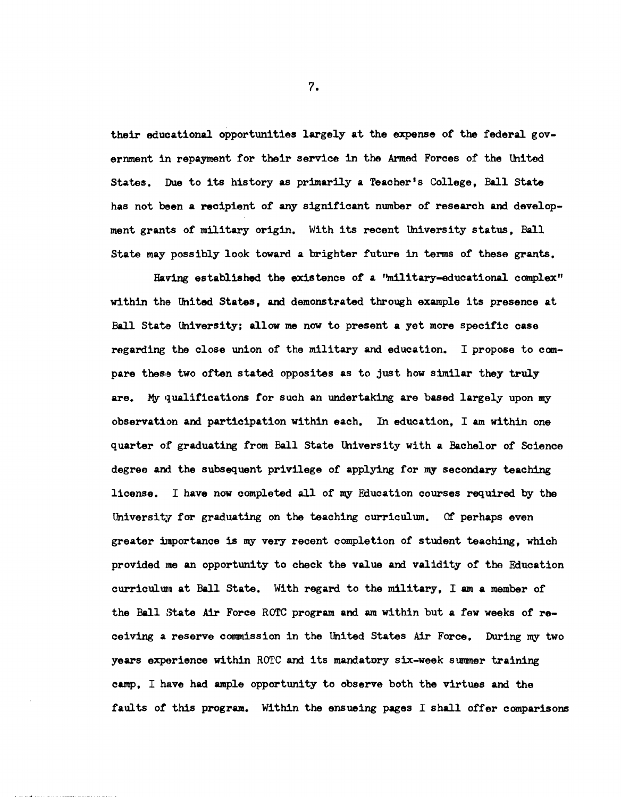their educational opportunitias largely at the expense of the federal government in repayment for their service in the Armad Forces of the United States. Due to its history as primarily a Teacher's College, Ball State has not been a recipient of any significant number of research and development grants of military origin. With its recent University status, Ball State may possibly look toward a brighter future in terms of these grants.

Having established the existence of a ''m11itary-educational complex" within the United States, and demonstrated through example its presence at Ball State University; allow me now to present a yet more specific case regarding the close union of the military and education. I propose to compare these two often stated opposites as to just how similar they truly are. My qualifications for such an undertaking are based largely upon my observation and participation within each. In education, I am within one quarter of graduating from Ball State University with a Bachelor of Science degree and the subsequent privilege of applying for my secondary teaching license. I have now completed all of my Education courses required by the University for graduating on the teaching curriculum. Of perhaps even greater importance is my very recent completion of student teaching, which provided me an opportunity to check the value and validity of the Education curriculum at Ball State. With regard to the military, I am a member of the Ball State Air Force ROTC program and am within but a few weeks of receiving a reserve commission in the United States Air Force. During my two years experience within ROTC and its mandatory six-week summer training camp. I have had ample opportunity to observe both the virtues and the faults of this program. Within the ensueing pages I shall offer comparisons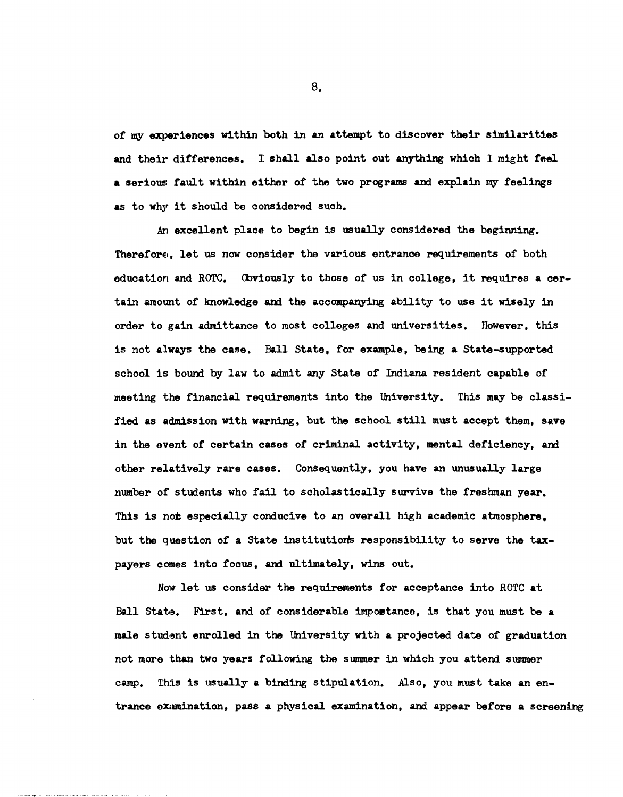of my experiences within both in an attempt to discover their similarities and their differences. I shall also point out anything which I might feel a serious fault within either of the two programs and explain my feelings as to why it should be considered such.

An excellent place to begin is usually considered the beginning. Therefore, let us now consider the various entrance requirements of both education and ROTC. Obviously to those of us in college, it requires a certain amount of knowledge and the accompanying ability to use it wisely in order to gain admittance to most colleges and universities. However, this is not always the case. Ball state, for example, being a state-supported school is bound by law to admit any State of Indiana resident capable of meeting the financial requirements into the thiversity. This may be classified as admission with warning, but the school still must accept them, save in the event of certain cases of criminal activity, mental deficiency, and other relatively rare cases. Consequently, you have an unusually large number of students who fail to scholastically survive the freshman year. This is not especially conducive to an overall high academic atmosphere. but the question of a State institutions responsibility to serve the taxpayers comes into focus, and ultimately, wins out.

Now let us consider the requirements for acceptance into ROTC at Ball State. First. and of considerable impoetance, is that you must be a male student enrolled in the University with a projected date of graduation not more than two years following the summer in which you attend summer camp. This is usually a binding stipulation. Also, you must take an entrance examination, pass a physical examination, and appear before a screening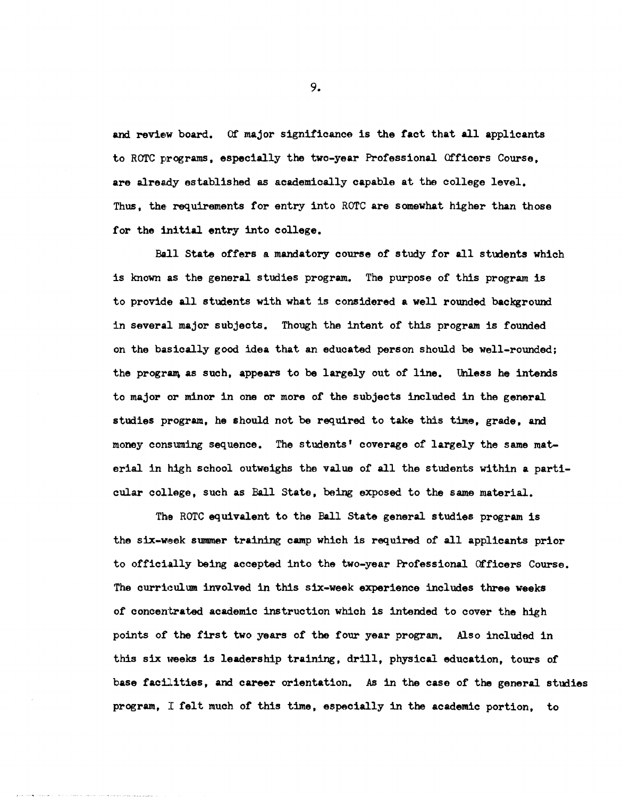and review board. Of major significance is the tact that all applicants to ROTC programs, especially the two-year Professional Officers Course, are already established as academically capable at the college level. Thus, the requirements for entry into ROTC are somewhat higher than those for the initial entry into college.

Ball State offers a mandatory course of study for all students which is known as the general studies program. The purpose of this program is to provide all students with what is considered a well rounded background in several major subjects. Though the intent of this program is founded on the basically good idea that an educated person should be well-rounded; the program as such, appears to be largely out of line. Unless he intends to major or minor in one or more of the subjects included in the general studies program, he should not be required to take this time, grade, and money consuming sequence. The students' coverage of largely the same material in high school outweighs the value of all the students within a particular college, such as Ball State, being exposed to the same material.

The ROTC equivalent to the Ball State general studies program is the six-week summer training camp which is required of all applicants prior to officially being accepted into the two-year Professional Officers Course. The curriculum involved in this six-week experience includes three weeks of concentrated academic instruction which is intended to cover the high points of the first two years of the four year program. Also included in this six weeks is leadership training, drill, physical education, tours of base facilities, and career orientation. As in the case of the general studies program, I felt much of this time, especially in the academic portion, to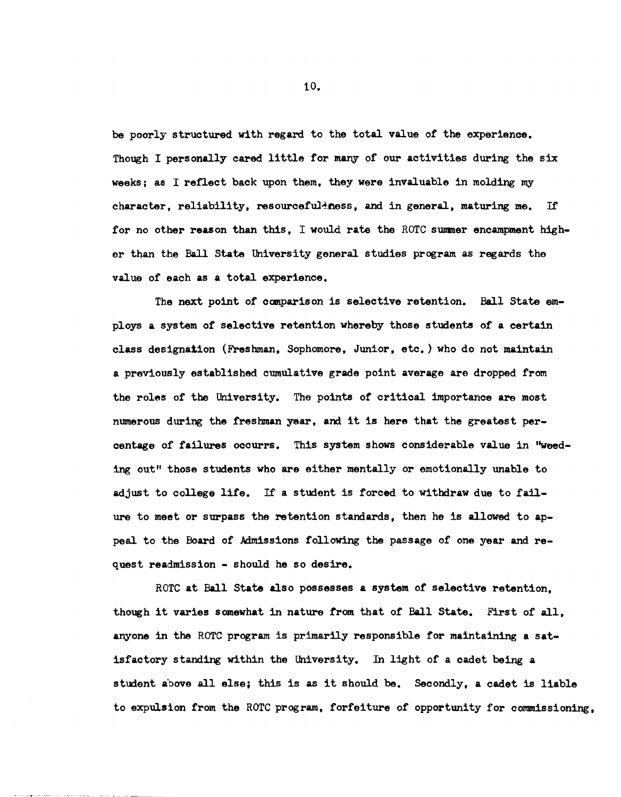be poorly structured with regard to the total value of the experience. Though I personally cared little for many of our activities during the six weeks; as I reflect back upon them, they were invaluable in molding my character, reliability, resourceful-ness, and in general, maturing me. If for no other reason than this. I would rate the ROTC summer encampment higher than the Ball State University general studies program as regards the value of each as a total experience.

The next point of comparison is selective retention. Ball State employs a system of selective retention whereby those students of a certain class designation (Freshman, Sophomore, Junior, etc.) who do not maintain a previously established cumulative grade point average are dropped from the roles of the University. The points of critical importance are most numerous during the freshman year, and it is here that the greatest percentage of failures occurrs. This system shows considerable value in "weeding out" those students who are either mentally or emotionally unable to adjust to college life. If a student is forced to withdraw due to failure to meet or surpass the retention standards, then he is allowed to appeal to the Board of Admissions following the passage of one year and request readmission - should he so desire.

ROTC at Ball State also possesses a system of selective retention, though it varies somewhat in nature trom that of Ball State. First of all, anyone in the ROTC program is primarily responsible for maintaining a satisfactory standing within the University. In light of a cadet being a student a'bove all else; this is as it should be. Secondly, a cadet is liable to expulslon from the ROTC program, forfeiture of opportunity for commissioning,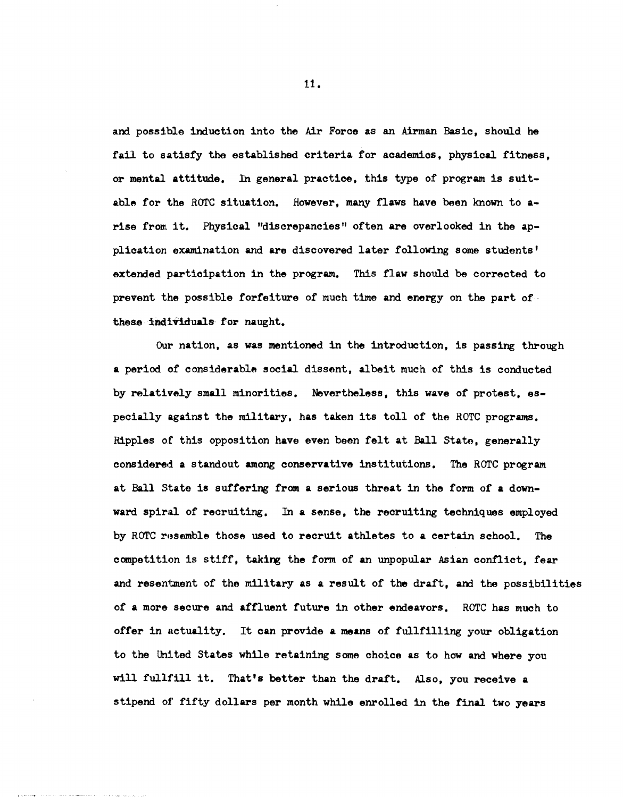and possible induction into the Air Force as an Airman Basic, should he fail to satisfy the established criteria for academics, physical fitness, or mental attitude. In general practice, this type of program is suitable for the ROTC situation. However, many flaws have been known to arise from it. Physical "discrepancies" often are overlooked in the application. examination and are discovered later following some students' extended participation in the program. This flaw should be corrected to prevent the possible forfeiture of much time and energy on the part of· these individuals for naught.

Our nation, as was mentioned in the introduction, is passing through a period of considerable social dissent. albeit much of this is conducted by relatively small minorities. Nevertheless, this wave of protest. especially against the military, has taken its toll of the ROTC programs. Ripples of this opposition have even been felt at Ball State, generally considered a standout among conservative institutions. The ROTC program at Ball state is suffering from a serious threat in the form of a downward spiral of recruiting. In a sense, the recruiting techniques employed by ROTC resemble those used to recruit athletes to a certain school. The competition is stiff, taking the form of an unpopular Asian conflict, fear and resentment of the military as a result of the draft, and the possibilities of a more secure and affluent future in other endeavors. ROTC has much to offer in nctuality. It can provide a means of fullfilling your obligation to the United States while retaining some choice as to how and where you will fullfill it. That's better than the draft. Also, you receive a stipend of fifty dollars per month while enrolled in the final two years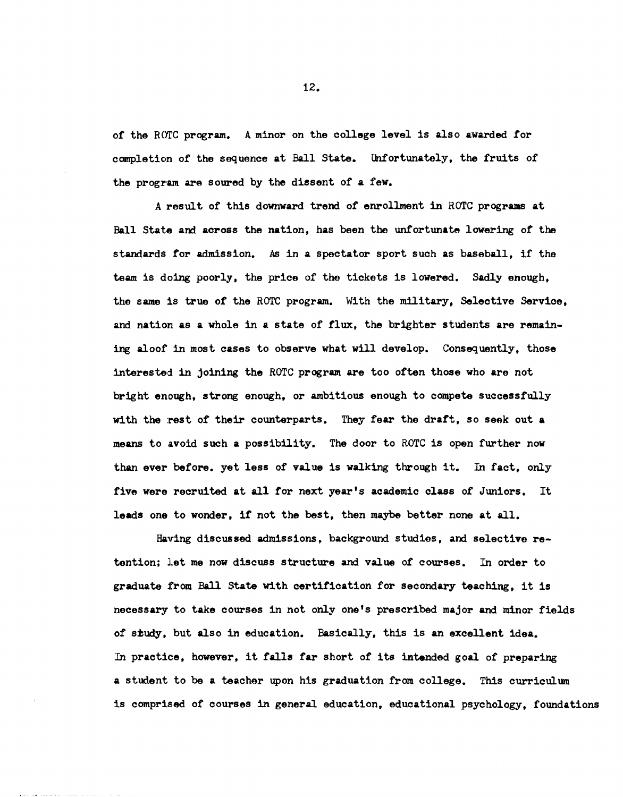of the ROTC program. A minor on the college level is also awarded for completion of the sequence at Ball State. Unfortunately, the fruits of the program are soured by the dissent of a few.

A result of this downward trend of enrollment in ROTC programs at Ball state and across the nation, has been the unfortunate lowering of the standards for admission. As in a spectator sport such as baseball, if the team is doing poorly, the price of the tickets is lowered. Sadly enough, the same is true of the ROTC program. With the military, Selective Service, and nation as a Whole in a state of flux, the brighter students are remaining aloof in most cases to observe what will develop. Consequently, those interested in joining the ROTC program are too often those who are not bright enough, strong enough. or ambitious enough to compete successfully with the rest of their counterparts. They fear the draft, so seek out a means to avoid such a possibility. The door to ROTC is open further now than ever before. yet less of value is walking through it. In fact. only five were recruited at all tor next year's academic class of Juniors. It leads one to wonder, if not the best, then maybe better none at all.

Having discussed admissions, background studies, and selective retention; let me now discuss structure and value of courses. In order to graduate from Ball State with certification for secondary teaching, it is necessary to take courses in not only one's prescribed major and minor fields of study, but also in education. Basically, this is an excellent idea. In practice, however, it falls far short of its intended goal of preparing a student to be a teacher upon his graduation from college. This curriculum is comprised of courses in general education, educational psychology, foundations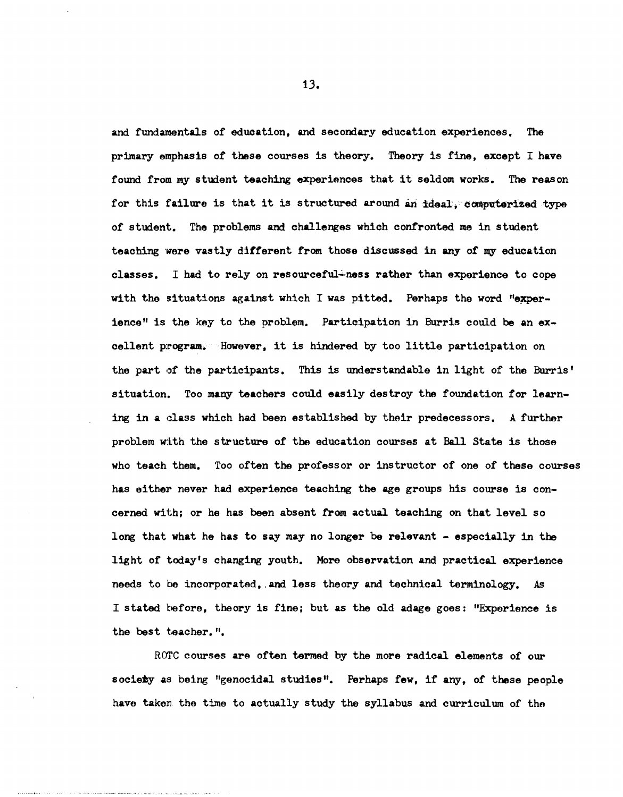and fundamentals of education, and secondary education experiences. The primary emphasis of these courses is theory. Theory is fine, except I have found from my student teaching experiences that it seldom works. The reason for this failure is that it is structured around an ideal; computerized type of student. The problems and challenges which confronted me in student teaching were vastly different from those discussed in any of my education classes. I had to rely on resourceful~ness rather than experience to cope with the situations against which I was pitted. Perhaps the word "experience" is the key to the problem. Participation in Burris could be an excellent program. However, it is hindered by too little participation on the part of the participants. This is understandable in light of the Burris' situation. Too many teachers could easily destroy the foundation for learning in a class which had been established by their predecessors. A further problem with the structure of the education courses at Ball State is those who teach them. Too otten the professor or instructor *ot* one of these courses has either never had experience teaching the age groups his course is concerned with; or he has been absent from actual teaching on that level so long that what he has to say may no longer be relevant - especially in the light *ot* today's changing youth. More observation and practical experience needs to be incorporated, and less theory and technical terminology. As I stated before, theory is fine; but as the old adage goes: "Experience is the best teacher.".

RO'l'C courses are otten termed by the more radical elements *ot* our society as being "genocidal studies". Perhaps few, if any, of these people have taken the time to actually study the syllabus and curriculum of the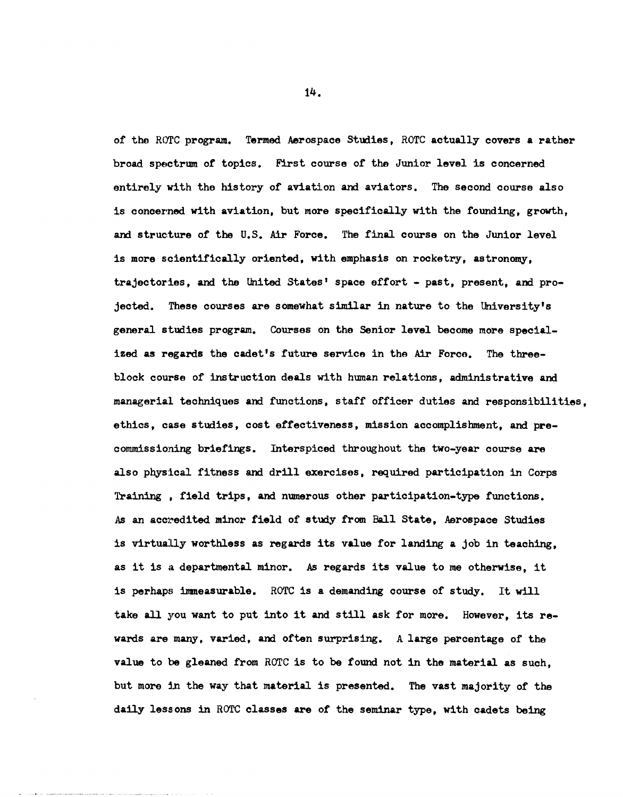of the ROTC program. Termed Aerospace Studies. ROTC actually covers a rather broad spectrum of topics. First course of the Junior level is concerned entirely with the history of aviation and aviators. The second course also is concerned with aviation, but more specifically with the founding, growth, and structure of the U.S. Air Force. The final course on the Junior level is more scientifically oriented, with emphasis on rocketry, astronomy, trajectories, and the United States' space effort - past, present, and projected. These courses are somewhat similar in nature to the University's general studies program. Courses on the Senior level become more specialized as regards the cadet's future service in the Air Force. The threeblock course of instruction deals with human relations, administrative and managerial techniques and functions, staff officer duties and responsibilities, ethics, case studies, cost effectiveness, mission accomplishment, and precommissioning briefings. Interspiced throughout the two-year course are also physical fitness and drill exercises, required participation in Corps Training . field trips, and numerous other participation-type functions. As an accredited minor field of study from Ball State, Aerospace Studies is virtually worthless as regards its value for landing a job in teaching, as it is a departmental minor. As regards its value to me otherwise, it is perhaps immeasurable. ROTC is a demanding course of study. It will take all you want to put into it and still ask for more. However, its rewards are many, varied, and often surprising. A large percentage of the value to be gleaned from ROTC is to be found not in the material as such, but more tn the way that material is presented. The vast majority of the daily lessons in ROTC classes are of the seminar type, with cadets being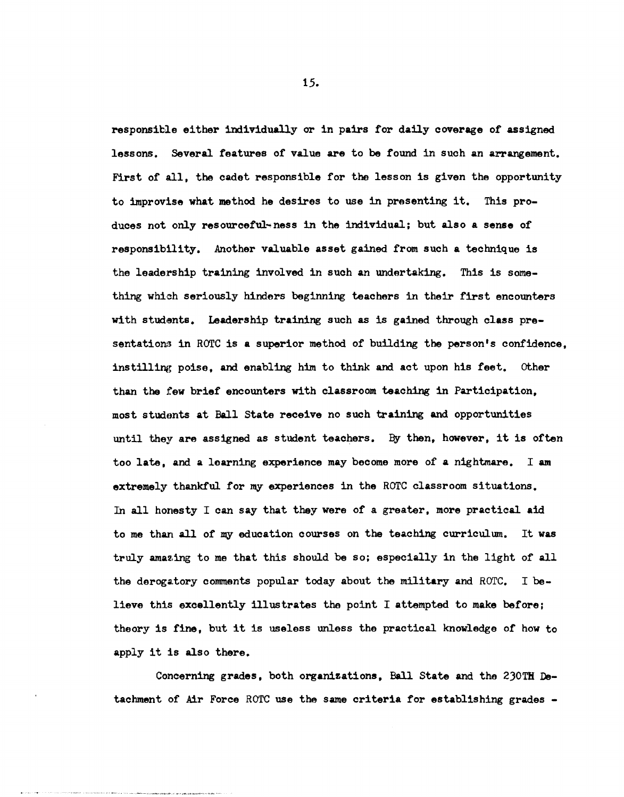responsible either individually or in pairs for daily coverage of assigned lessons. Several features of value are to be found in such an arrangement. First of all, the cadet responsible for the lesson is given the opportunity to improvise what method he desires to use in presenting it. This produces not only resourceful~ness in the individual; but also a sense of responsibility. Another valuable asset gained from such a technique is the leadership training involved in such an undertaking. This is something which seriously hinders beginning teachers in their first encounters with students. Leadership training such as is gained through class presentations in ROTC is a superior method of building the person's confidence. instilling poise, and enabling him to think and act upon his feet. other than the few brief encounters with classroom teaching in Participation, most studonts at Ball state receive no such training and. opportunities until they are assigned as student teachers. By then, however, it is often too late, and a learning experience may become more of a nightmare. I am extremely thankful for my experiences in the ROTC classroom situations. In all honesty I can say that they were of a greater, more practical aid to me than all of my education courses on the teaching curriculum. It was truly amazing to me that this should be so; especially in the light of all the derogatory comments popular today about the military and ROTC. I believe this excellently illustrates tho point I attempted to make before; theory is fine, but it is useless unless the practical knowledge of how to apply it is also there.

Concerning grades, both organizations, Ball State and the 230TH Detachment of Air Force ROTC use the same criteria for establishing grades -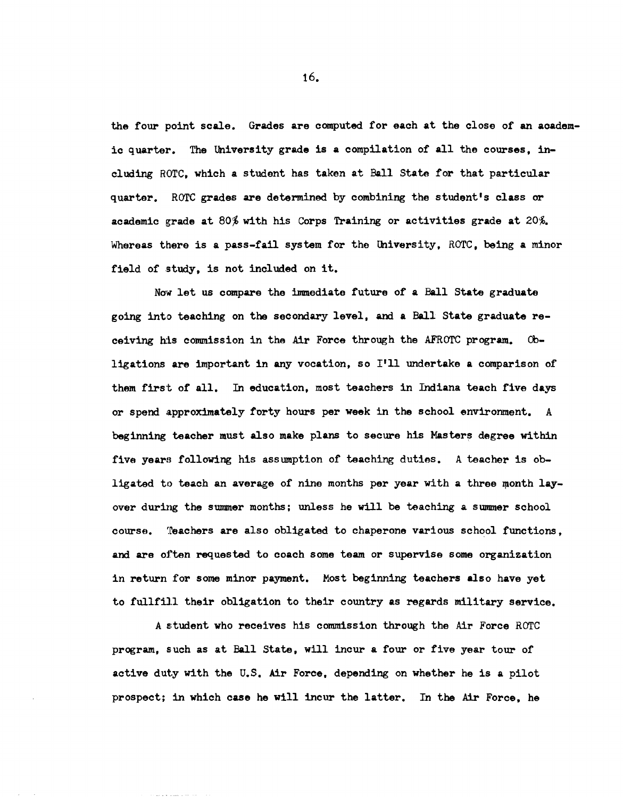the four point scale. Grades are computed for each at the close of an aoademic quarter. The University grade is a compilation of all the courses, including HOTC, which a student has taken at Ball State for that particular quarter. ROTC grades are determined by combining the student's class or academic grade at 80% with his Corps Training or activities grade at 20%. Whereas there is a pass-fail system for the University, ROTC, being a minor field of study, is not included on it.

Now let us compare the immediate future of a Ball State graduate going into teaching on the secondary level, and a Ball State graduate receiving h:is commission in the Air Force through the AFROTC program. Cbligations are important in any vocation, so I'll undertake a comparison of them first of all. In education, most teachers in Indiana teach five days or spend approximately forty hours per week in the school environment. A beginning teacher must also make plans to secure his Masters degree within five years following his assumption of teaching duties. A teacher is obligated to teach an average of nine months per year with a three month layover during the summer months; unless he will be teaching a summer school course. "Teachers are also obligated to chaperone various school functions, and are often requested to coach some team or supervise some organization in return for some minor payment. Most beginning teachers also have yet to fullfill their obligation to their country as regards military service.

A s:tudent who receives his commission through the Air Force ROTC program, such as at Ball State, will incur a four or five year tour of active duty with the U.S. Air Force, depending on whether he is a pilot prospect; in which case he will incur the latter. In the Air Force, he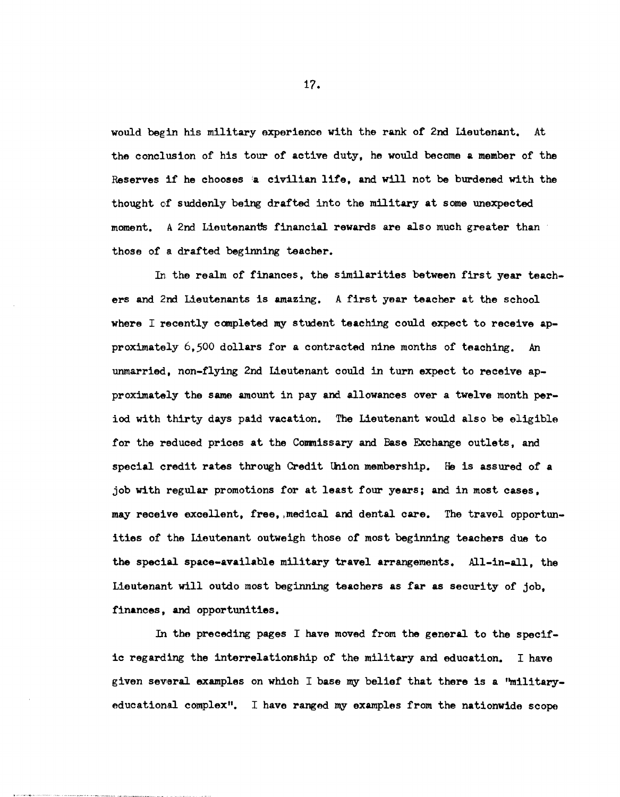would begin his military experience with the rank of 2nd Lieutenant. At the conclusion of his tour of active duty, he would become a member of the Reserves if he chooses ia civilian life, and will not be burdened with the thought of suddenly being drafted into the military at some unexpected moment. A 2nd Lieutenants financial rewards are also much greater than those of a drafted beginning teacher.

In the realm of finances. the similarities between first year teachers and 2nd Lieutenants is amazing. A first year teacher at the school where I recently completed my student teaching could expect to receive approximately 6.500 dollars for a contracted nine months of teaching. An unmarried, non-flying 2nd Lieutenant could in turn expect to receive approximately the same amount in pay and allowances over a twelve month period with thirty days paid vacation. The Lieutenant would also be eligible for the reduced prices at the Commissary and Base Exchange outlets, and special credit rates through Credit Union membership. He is assured of a job with regular promotions for at least four years; and in most cases, may receive excellent, free. ,medical and dental care. The travel opportunities of the Lieutenant outweigh those of most beginning teachers due to the special space-available military travel arrangements. All-in-all, the Lieutenant will outdo most beginning teachers as far as security of job, finances, and opportunities.

In the preceding pages I have moved from the general to the specific regarding the interrelationship of the military and education. I have given several examples on which I base my belief that there is a 'militaryeducational complex". I have ranged my examples from the nationwide scope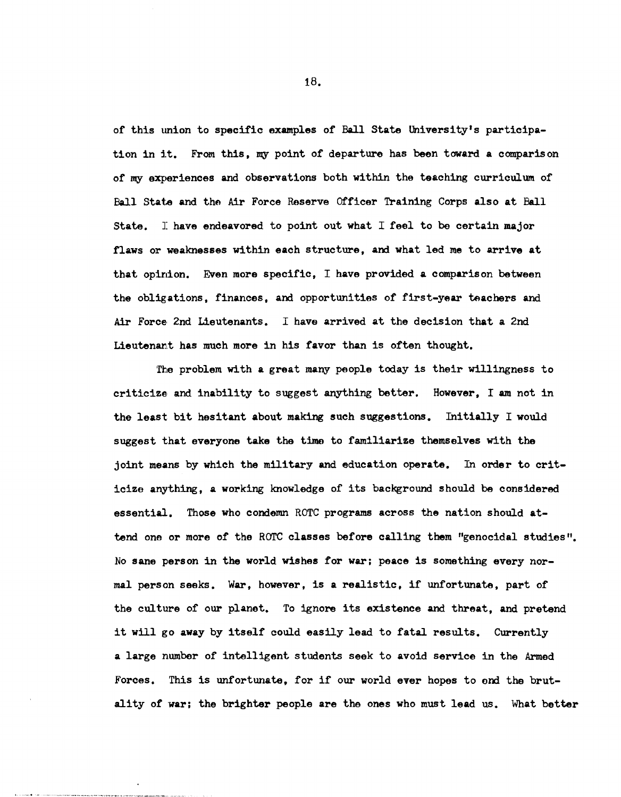of this tmion to specific examples of Ball State University's participation in it. From this, my point of departure has been toward a comparison of my experiences and observations both within the teaching curriculum of Ball State and the Air Force Reserve Officer Training Corps also at Ball State. I have endeavored to point out what I feel to be certain major flaws or weaknesses within each structure, and what led me to arrive at that opirlion. Even more specific, I have provided a comparison between the obligations, finances, and opportunities of first-year teachers and Air Force, 2nd Lieutenants. I have arrived at the decision that a 2nd Lieutenant has much more in his favor than is often thought.

The problem with a great many people today is their willingness to criticize and inability to suggest anything better. However, I am not in the least bit hesitant about making such suggestions. Initially I would suggest that everyone take the time to familiarize themselves with the joint means by which the military and education operate. In order to criticize anything, a working knowledge of its background should be considered essential. Those who condemn ROTC programs across the nation should attend one or more of the ROTC classes before calling them "genocidal studies". No sane person in the world wishes for war; peace is something every normal person seeks. War, however, is a realistic, if unfortunate, part of the culture of our planet. To ignore its existence and threat, and pretend it will go away by itself could easily lead to fatal results. Currently a large number of intelligent students seek to avoid service in the Armed Forces. This is unfortunate, for if our world ever hopos to ond the brutality of war; the brighter people are the ones who must lead us. What better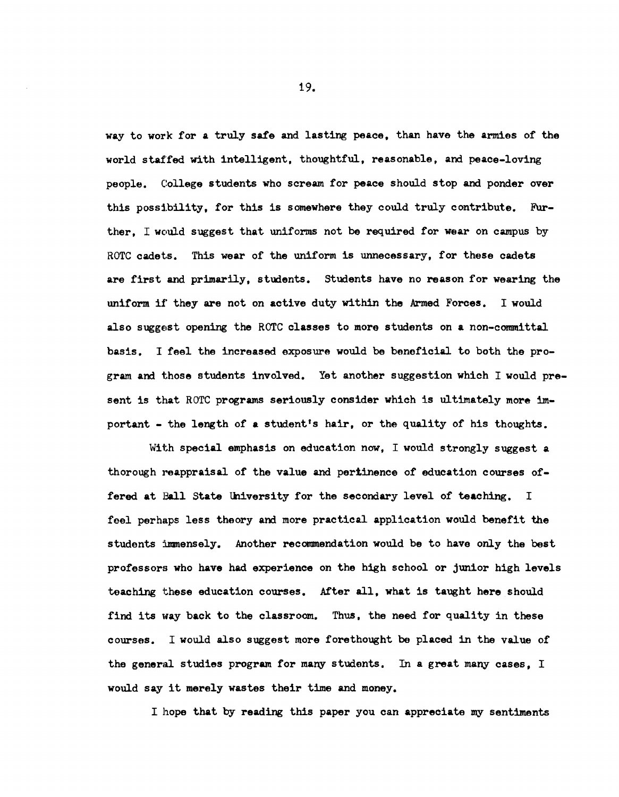way to work for a truly safe and lasting peace, than have the armies of the world staf'fed with intelligent, thoughtful, reasonable, and peace-loving people. College students who scream for peace should stop and ponder over this possibility, for this is somewhere they could truly contribute. Further, I would suggest that uniforms not be required for wear on campus by ROTC cadets. This wear of the uniform is unnecessary, for these cadets are first and primarily, students. students have no reason for wearing the uniform. if they are not on active duty within the Armed Forces. I would also suggest opening the ROTC classes to more students on a non-committal basis. I feel the increased exposure would be beneficial to both the program and those students involved. Yet another suggestion which I would present is that ROTC programs seriously consider which is ultimately more important - the length of a student's hair, or the quality of his thoughts.

With special emphasis on education now, I would strongly suggest a thorough reappraisal of the value and pertinence of education courses offered at Ball State University for the secondary level of teaching. I feel perhaps less theory and more practical application would benefit the students immensely. Another recommendation would be to have only the best professors who have had experience on the high school or junior high levels teaching these education courses. After all, what is taught here should find its way back to the classroom. Thus, the need for quality in these courses. I would also suggest more forethought be placed in the value of the general studies program for many students. In a great many cases. I would say it merely wastes their time and money.

I hope that by reading this paper you can appreciate my sentiments